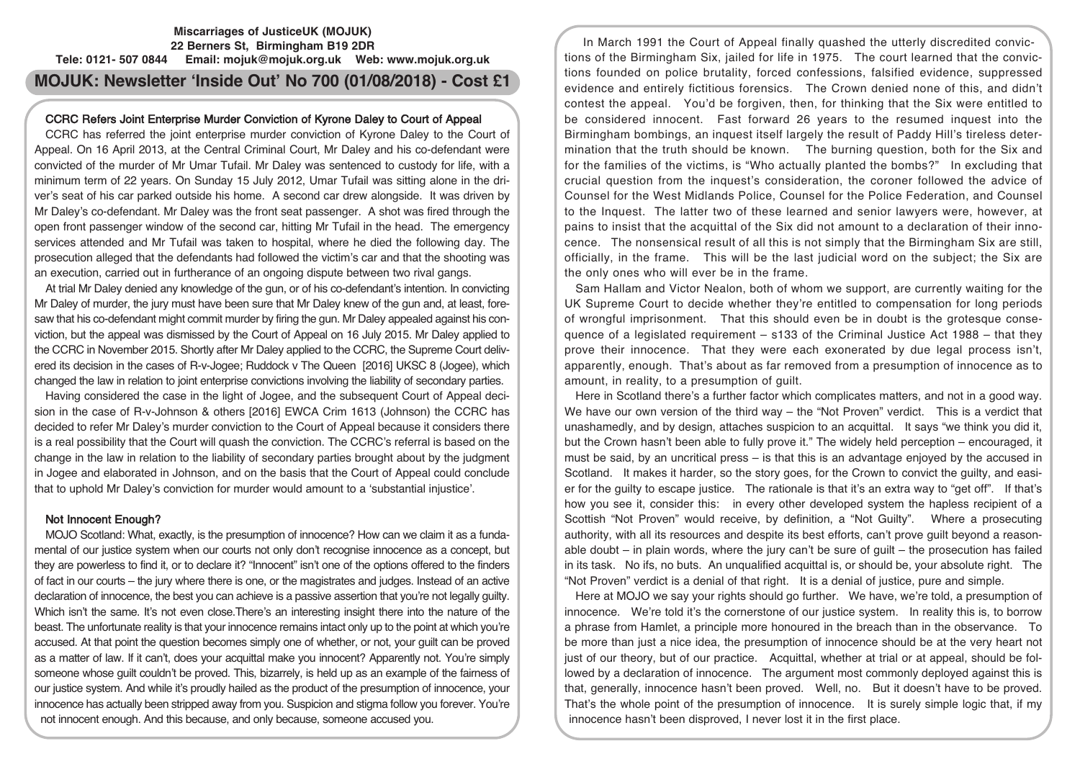## **Miscarriages of JusticeUK (MOJUK) 22 Berners St, Birmingham B19 2DR Tele: 0121- 507 0844 Email: mojuk@mojuk.org.uk Web: www.mojuk.org.uk**

# **MOJUK: Newsletter 'Inside Out' No 700 (01/08/2018) - Cost £1**

### CCRC Refers Joint Enterprise Murder Conviction of Kyrone Daley to Court of Appeal

CCRC has referred the joint enterprise murder conviction of Kyrone Daley to the Court of Appeal. On 16 April 2013, at the Central Criminal Court, Mr Daley and his co-defendant were convicted of the murder of Mr Umar Tufail. Mr Daley was sentenced to custody for life, with a minimum term of 22 years. On Sunday 15 July 2012, Umar Tufail was sitting alone in the driver's seat of his car parked outside his home. A second car drew alongside. It was driven by Mr Daley's co-defendant. Mr Daley was the front seat passenger. A shot was fired through the open front passenger window of the second car, hitting Mr Tufail in the head. The emergency services attended and Mr Tufail was taken to hospital, where he died the following day. The prosecution alleged that the defendants had followed the victim's car and that the shooting was an execution, carried out in furtherance of an ongoing dispute between two rival gangs.

At trial Mr Daley denied any knowledge of the gun, or of his co-defendant's intention. In convicting Mr Daley of murder, the jury must have been sure that Mr Daley knew of the gun and, at least, foresaw that his co-defendant might commit murder by firing the gun. Mr Daley appealed against his conviction, but the appeal was dismissed by the Court of Appeal on 16 July 2015. Mr Daley applied to the CCRC in November 2015. Shortly after Mr Daley applied to the CCRC, the Supreme Court delivered its decision in the cases of R-v-Jogee; Ruddock v The Queen [2016] UKSC 8 (Jogee), which changed the law in relation to joint enterprise convictions involving the liability of secondary parties.

Having considered the case in the light of Jogee, and the subsequent Court of Appeal decision in the case of R-v-Johnson & others [2016] EWCA Crim 1613 (Johnson) the CCRC has decided to refer Mr Daley's murder conviction to the Court of Appeal because it considers there is a real possibility that the Court will quash the conviction. The CCRC's referral is based on the change in the law in relation to the liability of secondary parties brought about by the judgment in Jogee and elaborated in Johnson, and on the basis that the Court of Appeal could conclude that to uphold Mr Daley's conviction for murder would amount to a 'substantial injustice'.

## Not Innocent Enough?

MOJO Scotland: What, exactly, is the presumption of innocence? How can we claim it as a fundamental of our justice system when our courts not only don't recognise innocence as a concept, but they are powerless to find it, or to declare it? "Innocent" isn't one of the options offered to the finders of fact in our courts – the jury where there is one, or the magistrates and judges. Instead of an active declaration of innocence, the best you can achieve is a passive assertion that you're not legally guilty. Which isn't the same. It's not even close. There's an interesting insight there into the nature of the beast. The unfortunate reality is that your innocence remains intact only up to the point at which you're accused. At that point the question becomes simply one of whether, or not, your guilt can be proved as a matter of law. If it can't, does your acquittal make you innocent? Apparently not. You're simply someone whose guilt couldn't be proved. This, bizarrely, is held up as an example of the fairness of our justice system. And while it's proudly hailed as the product of the presumption of innocence, your innocence has actually been stripped away from you. Suspicion and stigma follow you forever. You're not innocent enough. And this because, and only because, someone accused you.

In March 1991 the Court of Appeal finally quashed the utterly discredited convictions of the Birmingham Six, jailed for life in 1975. The court learned that the convictions founded on police brutality, forced confessions, falsified evidence, suppressed evidence and entirely fictitious forensics. The Crown denied none of this, and didn't contest the appeal. You'd be forgiven, then, for thinking that the Six were entitled to be considered innocent. Fast forward 26 years to the resumed inquest into the Birmingham bombings, an inquest itself largely the result of Paddy Hill's tireless determination that the truth should be known. The burning question, both for the Six and for the families of the victims, is "Who actually planted the bombs?" In excluding that crucial question from the inquest's consideration, the coroner followed the advice of Counsel for the West Midlands Police, Counsel for the Police Federation, and Counsel to the Inquest. The latter two of these learned and senior lawyers were, however, at pains to insist that the acquittal of the Six did not amount to a declaration of their innocence. The nonsensical result of all this is not simply that the Birmingham Six are still, officially, in the frame. This will be the last judicial word on the subject; the Six are the only ones who will ever be in the frame.

Sam Hallam and Victor Nealon, both of whom we support, are currently waiting for the UK Supreme Court to decide whether they're entitled to compensation for long periods of wrongful imprisonment. That this should even be in doubt is the grotesque consequence of a legislated requirement – s133 of the Criminal Justice Act 1988 – that they prove their innocence. That they were each exonerated by due legal process isn't, apparently, enough. That's about as far removed from a presumption of innocence as to amount, in reality, to a presumption of guilt.

Here in Scotland there's a further factor which complicates matters, and not in a good way. We have our own version of the third way – the "Not Proven" verdict. This is a verdict that unashamedly, and by design, attaches suspicion to an acquittal. It says "we think you did it, but the Crown hasn't been able to fully prove it." The widely held perception – encouraged, it must be said, by an uncritical press  $-$  is that this is an advantage enjoyed by the accused in Scotland. It makes it harder, so the story goes, for the Crown to convict the guilty, and easier for the guilty to escape justice. The rationale is that it's an extra way to "get off". If that's how you see it, consider this: in every other developed system the hapless recipient of a Scottish "Not Proven" would receive, by definition, a "Not Guilty". Where a prosecuting authority, with all its resources and despite its best efforts, can't prove guilt beyond a reasonable doubt – in plain words, where the jury can't be sure of guilt – the prosecution has failed in its task. No ifs, no buts. An unqualified acquittal is, or should be, your absolute right. The "Not Proven" verdict is a denial of that right. It is a denial of justice, pure and simple.

Here at MOJO we say your rights should go further. We have, we're told, a presumption of innocence. We're told it's the cornerstone of our justice system. In reality this is, to borrow a phrase from Hamlet, a principle more honoured in the breach than in the observance. To be more than just a nice idea, the presumption of innocence should be at the very heart not just of our theory, but of our practice. Acquittal, whether at trial or at appeal, should be followed by a declaration of innocence. The argument most commonly deployed against this is that, generally, innocence hasn't been proved. Well, no. But it doesn't have to be proved. That's the whole point of the presumption of innocence. It is surely simple logic that, if my innocence hasn't been disproved, I never lost it in the first place.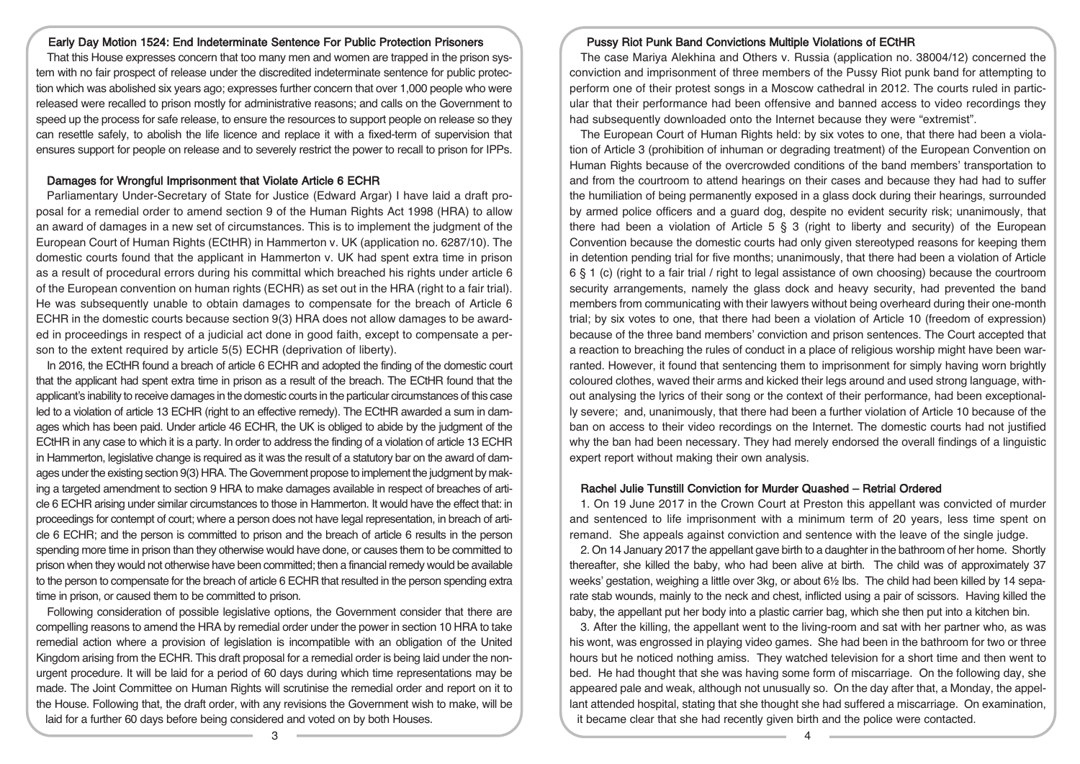#### Early Day Motion 1524: End Indeterminate Sentence For Public Protection Prisoners

That this House expresses concern that too many men and women are trapped in the prison system with no fair prospect of release under the discredited indeterminate sentence for public protection which was abolished six years ago; expresses further concern that over 1,000 people who were released were recalled to prison mostly for administrative reasons; and calls on the Government to speed up the process for safe release, to ensure the resources to support people on release so they can resettle safely, to abolish the life licence and replace it with a fixed-term of supervision that ensures support for people on release and to severely restrict the power to recall to prison for IPPs.

#### Damages for Wrongful Imprisonment that Violate Article 6 ECHR

Parliamentary Under-Secretary of State for Justice (Edward Argar) I have laid a draft proposal for a remedial order to amend section 9 of the Human Rights Act 1998 (HRA) to allow an award of damages in a new set of circumstances. This is to implement the judgment of the European Court of Human Rights (ECtHR) in Hammerton v. UK (application no. 6287/10). The domestic courts found that the applicant in Hammerton v. UK had spent extra time in prison as a result of procedural errors during his committal which breached his rights under article 6 of the European convention on human rights (ECHR) as set out in the HRA (right to a fair trial). He was subsequently unable to obtain damages to compensate for the breach of Article 6 ECHR in the domestic courts because section 9(3) HRA does not allow damages to be awarded in proceedings in respect of a judicial act done in good faith, except to compensate a person to the extent required by article 5(5) ECHR (deprivation of liberty).

In 2016, the ECtHR found a breach of article 6 ECHR and adopted the finding of the domestic court that the applicant had spent extra time in prison as a result of the breach. The ECtHR found that the applicant's inability to receive damages in the domestic courts in the particular circumstances of this case led to a violation of article 13 ECHR (right to an effective remedy). The ECtHR awarded a sum in damages which has been paid. Under article 46 ECHR, the UK is obliged to abide by the judgment of the ECtHR in any case to which it is a party. In order to address the finding of a violation of article 13 ECHR in Hammerton, legislative change is required as it was the result of a statutory bar on the award of damages under the existing section 9(3) HRA. The Government propose to implement the judgment by making a targeted amendment to section 9 HRA to make damages available in respect of breaches of article 6 ECHR arising under similar circumstances to those in Hammerton. It would have the effect that: in proceedings for contempt of court; where a person does not have legal representation, in breach of article 6 ECHR; and the person is committed to prison and the breach of article 6 results in the person spending more time in prison than they otherwise would have done, or causes them to be committed to prison when they would not otherwise have been committed; then a financial remedy would be available to the person to compensate for the breach of article 6 ECHR that resulted in the person spending extra time in prison, or caused them to be committed to prison.

Following consideration of possible legislative options, the Government consider that there are compelling reasons to amend the HRA by remedial order under the power in section 10 HRA to take remedial action where a provision of legislation is incompatible with an obligation of the United Kingdom arising from the ECHR. This draft proposal for a remedial order is being laid under the nonurgent procedure. It will be laid for a period of 60 days during which time representations may be made. The Joint Committee on Human Rights will scrutinise the remedial order and report on it to the House. Following that, the draft order, with any revisions the Government wish to make, will be laid for a further 60 days before being considered and voted on by both Houses.

#### Pussy Riot Punk Band Convictions Multiple Violations of ECtHR

The case Mariya Alekhina and Others v. Russia (application no. 38004/12) concerned the conviction and imprisonment of three members of the Pussy Riot punk band for attempting to perform one of their protest songs in a Moscow cathedral in 2012. The courts ruled in particular that their performance had been offensive and banned access to video recordings they had subsequently downloaded onto the Internet because they were "extremist".

The European Court of Human Rights held: by six votes to one, that there had been a violation of Article 3 (prohibition of inhuman or degrading treatment) of the European Convention on Human Rights because of the overcrowded conditions of the band members' transportation to and from the courtroom to attend hearings on their cases and because they had had to suffer the humiliation of being permanently exposed in a glass dock during their hearings, surrounded by armed police officers and a guard dog, despite no evident security risk; unanimously, that there had been a violation of Article  $5 \S 3$  (right to liberty and security) of the European Convention because the domestic courts had only given stereotyped reasons for keeping them in detention pending trial for five months; unanimously, that there had been a violation of Article 6 § 1 (c) (right to a fair trial / right to legal assistance of own choosing) because the courtroom security arrangements, namely the glass dock and heavy security, had prevented the band members from communicating with their lawyers without being overheard during their one-month trial; by six votes to one, that there had been a violation of Article 10 (freedom of expression) because of the three band members' conviction and prison sentences. The Court accepted that a reaction to breaching the rules of conduct in a place of religious worship might have been warranted. However, it found that sentencing them to imprisonment for simply having worn brightly coloured clothes, waved their arms and kicked their legs around and used strong language, without analysing the lyrics of their song or the context of their performance, had been exceptionally severe; and, unanimously, that there had been a further violation of Article 10 because of the ban on access to their video recordings on the Internet. The domestic courts had not justified why the ban had been necessary. They had merely endorsed the overall findings of a linguistic expert report without making their own analysis.

#### Rachel Julie Tunstill Conviction for Murder Quashed – Retrial Ordered

1. On 19 June 2017 in the Crown Court at Preston this appellant was convicted of murder and sentenced to life imprisonment with a minimum term of 20 years, less time spent on remand. She appeals against conviction and sentence with the leave of the single judge.

2. On 14 January 2017 the appellant gave birth to a daughter in the bathroom of her home. Shortly thereafter, she killed the baby, who had been alive at birth. The child was of approximately 37 weeks' gestation, weighing a little over 3kg, or about 6½ lbs. The child had been killed by 14 separate stab wounds, mainly to the neck and chest, inflicted using a pair of scissors. Having killed the baby, the appellant put her body into a plastic carrier bag, which she then put into a kitchen bin.

3. After the killing, the appellant went to the living-room and sat with her partner who, as was his wont, was engrossed in playing video games. She had been in the bathroom for two or three hours but he noticed nothing amiss. They watched television for a short time and then went to bed. He had thought that she was having some form of miscarriage. On the following day, she appeared pale and weak, although not unusually so. On the day after that, a Monday, the appellant attended hospital, stating that she thought she had suffered a miscarriage. On examination, it became clear that she had recently given birth and the police were contacted.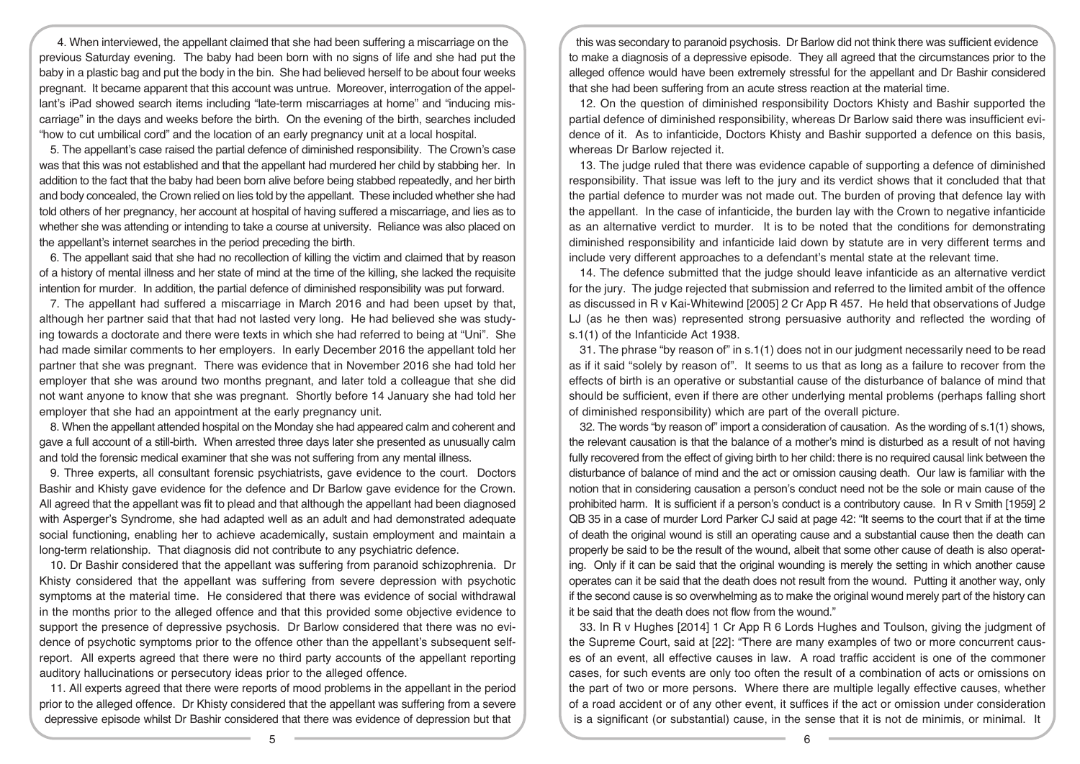4. When interviewed, the appellant claimed that she had been suffering a miscarriage on the previous Saturday evening. The baby had been born with no signs of life and she had put the baby in a plastic bag and put the body in the bin. She had believed herself to be about four weeks pregnant. It became apparent that this account was untrue. Moreover, interrogation of the appellant's iPad showed search items including "late-term miscarriages at home" and "inducing miscarriage" in the days and weeks before the birth. On the evening of the birth, searches included "how to cut umbilical cord" and the location of an early pregnancy unit at a local hospital.

5. The appellant's case raised the partial defence of diminished responsibility. The Crown's case was that this was not established and that the appellant had murdered her child by stabbing her. In addition to the fact that the baby had been born alive before being stabbed repeatedly, and her birth and body concealed, the Crown relied on lies told by the appellant. These included whether she had told others of her pregnancy, her account at hospital of having suffered a miscarriage, and lies as to whether she was attending or intending to take a course at university. Reliance was also placed on the appellant's internet searches in the period preceding the birth.

6. The appellant said that she had no recollection of killing the victim and claimed that by reason of a history of mental illness and her state of mind at the time of the killing, she lacked the requisite intention for murder. In addition, the partial defence of diminished responsibility was put forward.

7. The appellant had suffered a miscarriage in March 2016 and had been upset by that, although her partner said that that had not lasted very long. He had believed she was studying towards a doctorate and there were texts in which she had referred to being at "Uni". She had made similar comments to her employers. In early December 2016 the appellant told her partner that she was pregnant. There was evidence that in November 2016 she had told her employer that she was around two months pregnant, and later told a colleague that she did not want anyone to know that she was pregnant. Shortly before 14 January she had told her employer that she had an appointment at the early pregnancy unit.

8. When the appellant attended hospital on the Monday she had appeared calm and coherent and gave a full account of a still-birth. When arrested three days later she presented as unusually calm and told the forensic medical examiner that she was not suffering from any mental illness.

9. Three experts, all consultant forensic psychiatrists, gave evidence to the court. Doctors Bashir and Khisty gave evidence for the defence and Dr Barlow gave evidence for the Crown. All agreed that the appellant was fit to plead and that although the appellant had been diagnosed with Asperger's Syndrome, she had adapted well as an adult and had demonstrated adequate social functioning, enabling her to achieve academically, sustain employment and maintain a long-term relationship. That diagnosis did not contribute to any psychiatric defence.

10. Dr Bashir considered that the appellant was suffering from paranoid schizophrenia. Dr Khisty considered that the appellant was suffering from severe depression with psychotic symptoms at the material time. He considered that there was evidence of social withdrawal in the months prior to the alleged offence and that this provided some objective evidence to support the presence of depressive psychosis. Dr Barlow considered that there was no evidence of psychotic symptoms prior to the offence other than the appellant's subsequent selfreport. All experts agreed that there were no third party accounts of the appellant reporting auditory hallucinations or persecutory ideas prior to the alleged offence.

11. All experts agreed that there were reports of mood problems in the appellant in the period prior to the alleged offence. Dr Khisty considered that the appellant was suffering from a severe depressive episode whilst Dr Bashir considered that there was evidence of depression but that

this was secondary to paranoid psychosis. Dr Barlow did not think there was sufficient evidence to make a diagnosis of a depressive episode. They all agreed that the circumstances prior to the alleged offence would have been extremely stressful for the appellant and Dr Bashir considered that she had been suffering from an acute stress reaction at the material time.

12. On the question of diminished responsibility Doctors Khisty and Bashir supported the partial defence of diminished responsibility, whereas Dr Barlow said there was insufficient evidence of it. As to infanticide, Doctors Khisty and Bashir supported a defence on this basis, whereas Dr Barlow rejected it.

13. The judge ruled that there was evidence capable of supporting a defence of diminished responsibility. That issue was left to the jury and its verdict shows that it concluded that that the partial defence to murder was not made out. The burden of proving that defence lay with the appellant. In the case of infanticide, the burden lay with the Crown to negative infanticide as an alternative verdict to murder. It is to be noted that the conditions for demonstrating diminished responsibility and infanticide laid down by statute are in very different terms and include very different approaches to a defendant's mental state at the relevant time.

14. The defence submitted that the judge should leave infanticide as an alternative verdict for the jury. The judge rejected that submission and referred to the limited ambit of the offence as discussed in R v Kai-Whitewind [2005] 2 Cr App R 457. He held that observations of Judge LJ (as he then was) represented strong persuasive authority and reflected the wording of s.1(1) of the Infanticide Act 1938.

31. The phrase "by reason of" in s.1(1) does not in our judgment necessarily need to be read as if it said "solely by reason of". It seems to us that as long as a failure to recover from the effects of birth is an operative or substantial cause of the disturbance of balance of mind that should be sufficient, even if there are other underlying mental problems (perhaps falling short of diminished responsibility) which are part of the overall picture.

32. The words "by reason of" import a consideration of causation. As the wording of s.1(1) shows, the relevant causation is that the balance of a mother's mind is disturbed as a result of not having fully recovered from the effect of giving birth to her child: there is no required causal link between the disturbance of balance of mind and the act or omission causing death. Our law is familiar with the notion that in considering causation a person's conduct need not be the sole or main cause of the prohibited harm. It is sufficient if a person's conduct is a contributory cause. In R v Smith [1959] 2 QB 35 in a case of murder Lord Parker CJ said at page 42: "It seems to the court that if at the time of death the original wound is still an operating cause and a substantial cause then the death can properly be said to be the result of the wound, albeit that some other cause of death is also operating. Only if it can be said that the original wounding is merely the setting in which another cause operates can it be said that the death does not result from the wound. Putting it another way, only if the second cause is so overwhelming as to make the original wound merely part of the history can it be said that the death does not flow from the wound."

33. In R v Hughes [2014] 1 Cr App R 6 Lords Hughes and Toulson, giving the judgment of the Supreme Court, said at [22]: "There are many examples of two or more concurrent causes of an event, all effective causes in law. A road traffic accident is one of the commoner cases, for such events are only too often the result of a combination of acts or omissions on the part of two or more persons. Where there are multiple legally effective causes, whether of a road accident or of any other event, it suffices if the act or omission under consideration is a significant (or substantial) cause, in the sense that it is not de minimis, or minimal. It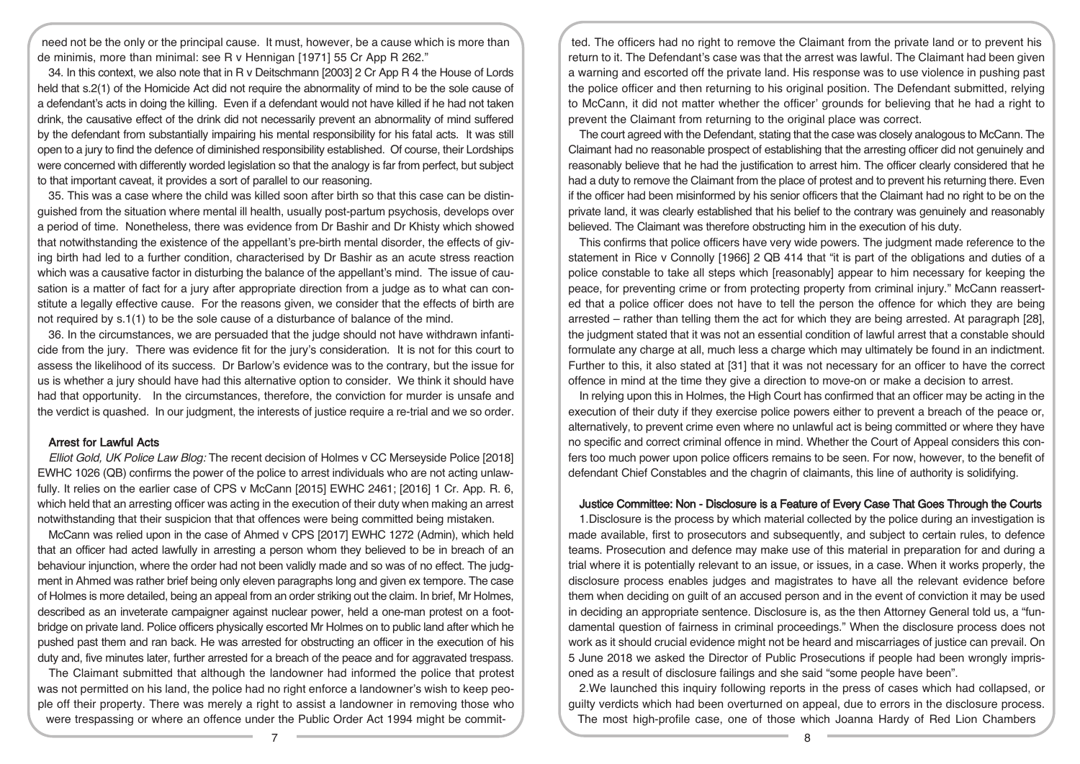need not be the only or the principal cause. It must, however, be a cause which is more than de minimis, more than minimal: see R v Hennigan [1971] 55 Cr App R 262."

34. In this context, we also note that in R v Deitschmann [2003] 2 Cr App R 4 the House of Lords held that s.2(1) of the Homicide Act did not require the abnormality of mind to be the sole cause of a defendant's acts in doing the killing. Even if a defendant would not have killed if he had not taken drink, the causative effect of the drink did not necessarily prevent an abnormality of mind suffered by the defendant from substantially impairing his mental responsibility for his fatal acts. It was still open to a jury to find the defence of diminished responsibility established. Of course, their Lordships were concerned with differently worded legislation so that the analogy is far from perfect, but subject to that important caveat, it provides a sort of parallel to our reasoning.

35. This was a case where the child was killed soon after birth so that this case can be distinguished from the situation where mental ill health, usually post-partum psychosis, develops over a period of time. Nonetheless, there was evidence from Dr Bashir and Dr Khisty which showed that notwithstanding the existence of the appellant's pre-birth mental disorder, the effects of giving birth had led to a further condition, characterised by Dr Bashir as an acute stress reaction which was a causative factor in disturbing the balance of the appellant's mind. The issue of causation is a matter of fact for a jury after appropriate direction from a judge as to what can constitute a legally effective cause. For the reasons given, we consider that the effects of birth are not required by s.1(1) to be the sole cause of a disturbance of balance of the mind.

36. In the circumstances, we are persuaded that the judge should not have withdrawn infanticide from the jury. There was evidence fit for the jury's consideration. It is not for this court to assess the likelihood of its success. Dr Barlow's evidence was to the contrary, but the issue for us is whether a jury should have had this alternative option to consider. We think it should have had that opportunity. In the circumstances, therefore, the conviction for murder is unsafe and the verdict is quashed. In our judgment, the interests of justice require a re-trial and we so order.

#### Arrest for Lawful Acts

Elliot Gold, UK Police Law Blog: The recent decision of Holmes v CC Merseyside Police [2018] EWHC 1026 (QB) confirms the power of the police to arrest individuals who are not acting unlawfully. It relies on the earlier case of CPS v McCann [2015] EWHC 2461; [2016] 1 Cr. App. R. 6, which held that an arresting officer was acting in the execution of their duty when making an arrest notwithstanding that their suspicion that that offences were being committed being mistaken.

McCann was relied upon in the case of Ahmed v CPS [2017] EWHC 1272 (Admin), which held that an officer had acted lawfully in arresting a person whom they believed to be in breach of an behaviour injunction, where the order had not been validly made and so was of no effect. The judgment in Ahmed was rather brief being only eleven paragraphs long and given ex tempore. The case of Holmes is more detailed, being an appeal from an order striking out the claim. In brief, Mr Holmes, described as an inveterate campaigner against nuclear power, held a one-man protest on a footbridge on private land. Police officers physically escorted Mr Holmes on to public land after which he pushed past them and ran back. He was arrested for obstructing an officer in the execution of his duty and, five minutes later, further arrested for a breach of the peace and for aggravated trespass.

The Claimant submitted that although the landowner had informed the police that protest was not permitted on his land, the police had no right enforce a landowner's wish to keep people off their property. There was merely a right to assist a landowner in removing those who were trespassing or where an offence under the Public Order Act 1994 might be commit-

ted. The officers had no right to remove the Claimant from the private land or to prevent his return to it. The Defendant's case was that the arrest was lawful. The Claimant had been given a warning and escorted off the private land. His response was to use violence in pushing past the police officer and then returning to his original position. The Defendant submitted, relying to McCann, it did not matter whether the officer' grounds for believing that he had a right to prevent the Claimant from returning to the original place was correct.

The court agreed with the Defendant, stating that the case was closely analogous to McCann. The Claimant had no reasonable prospect of establishing that the arresting officer did not genuinely and reasonably believe that he had the justification to arrest him. The officer clearly considered that he had a duty to remove the Claimant from the place of protest and to prevent his returning there. Even if the officer had been misinformed by his senior officers that the Claimant had no right to be on the private land, it was clearly established that his belief to the contrary was genuinely and reasonably believed. The Claimant was therefore obstructing him in the execution of his duty.

This confirms that police officers have very wide powers. The judgment made reference to the statement in Rice v Connolly [1966] 2 QB 414 that "it is part of the obligations and duties of a police constable to take all steps which [reasonably] appear to him necessary for keeping the peace, for preventing crime or from protecting property from criminal injury." McCann reasserted that a police officer does not have to tell the person the offence for which they are being arrested – rather than telling them the act for which they are being arrested. At paragraph [28], the judgment stated that it was not an essential condition of lawful arrest that a constable should formulate any charge at all, much less a charge which may ultimately be found in an indictment. Further to this, it also stated at [31] that it was not necessary for an officer to have the correct offence in mind at the time they give a direction to move-on or make a decision to arrest.

In relying upon this in Holmes, the High Court has confirmed that an officer may be acting in the execution of their duty if they exercise police powers either to prevent a breach of the peace or, alternatively, to prevent crime even where no unlawful act is being committed or where they have no specific and correct criminal offence in mind. Whether the Court of Appeal considers this confers too much power upon police officers remains to be seen. For now, however, to the benefit of defendant Chief Constables and the chagrin of claimants, this line of authority is solidifying.

#### Justice Committee: Non - Disclosure is a Feature of Every Case That Goes Through the Courts

1.Disclosure is the process by which material collected by the police during an investigation is made available, first to prosecutors and subsequently, and subject to certain rules, to defence teams. Prosecution and defence may make use of this material in preparation for and during a trial where it is potentially relevant to an issue, or issues, in a case. When it works properly, the disclosure process enables judges and magistrates to have all the relevant evidence before them when deciding on guilt of an accused person and in the event of conviction it may be used in deciding an appropriate sentence. Disclosure is, as the then Attorney General told us, a "fundamental question of fairness in criminal proceedings." When the disclosure process does not work as it should crucial evidence might not be heard and miscarriages of justice can prevail. On 5 June 2018 we asked the Director of Public Prosecutions if people had been wrongly imprisoned as a result of disclosure failings and she said "some people have been".

2.We launched this inquiry following reports in the press of cases which had collapsed, or guilty verdicts which had been overturned on appeal, due to errors in the disclosure process. The most high-profile case, one of those which Joanna Hardy of Red Lion Chambers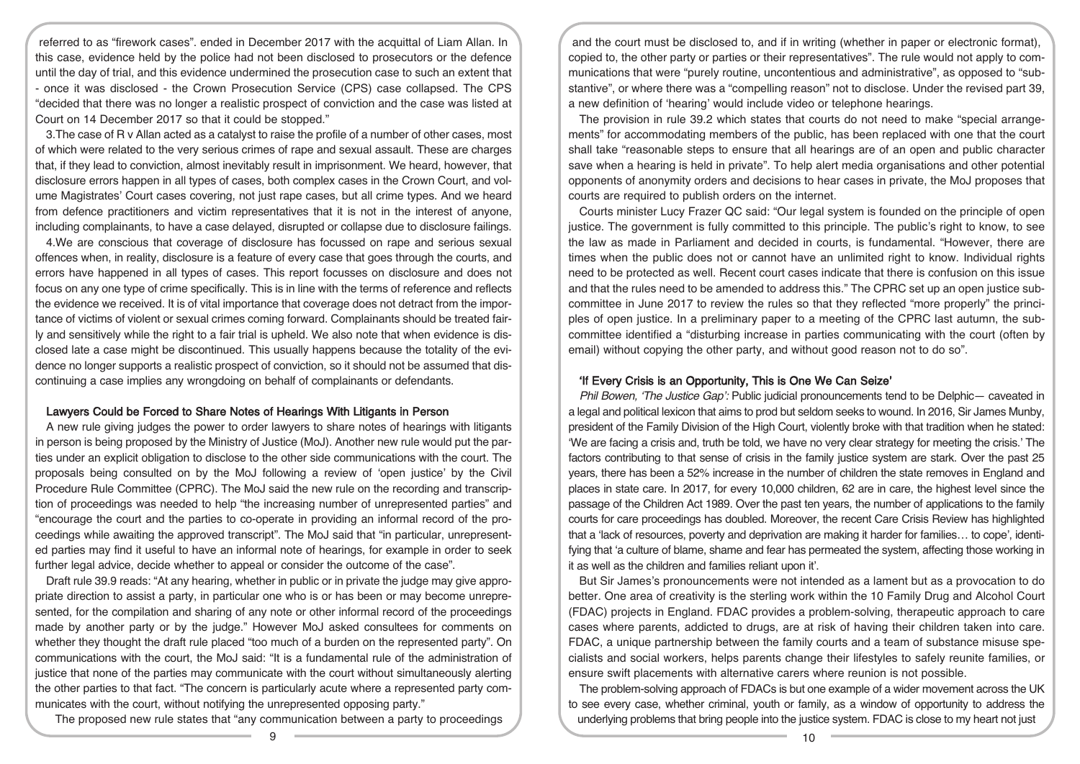referred to as "firework cases". ended in December 2017 with the acquittal of Liam Allan. In this case, evidence held by the police had not been disclosed to prosecutors or the defence until the day of trial, and this evidence undermined the prosecution case to such an extent that - once it was disclosed - the Crown Prosecution Service (CPS) case collapsed. The CPS "decided that there was no longer a realistic prospect of conviction and the case was listed at Court on 14 December 2017 so that it could be stopped."

3.The case of R v Allan acted as a catalyst to raise the profile of a number of other cases, most of which were related to the very serious crimes of rape and sexual assault. These are charges that, if they lead to conviction, almost inevitably result in imprisonment. We heard, however, that disclosure errors happen in all types of cases, both complex cases in the Crown Court, and volume Magistrates' Court cases covering, not just rape cases, but all crime types. And we heard from defence practitioners and victim representatives that it is not in the interest of anyone, including complainants, to have a case delayed, disrupted or collapse due to disclosure failings.

4.We are conscious that coverage of disclosure has focussed on rape and serious sexual offences when, in reality, disclosure is a feature of every case that goes through the courts, and errors have happened in all types of cases. This report focusses on disclosure and does not focus on any one type of crime specifically. This is in line with the terms of reference and reflects the evidence we received. It is of vital importance that coverage does not detract from the importance of victims of violent or sexual crimes coming forward. Complainants should be treated fairly and sensitively while the right to a fair trial is upheld. We also note that when evidence is disclosed late a case might be discontinued. This usually happens because the totality of the evidence no longer supports a realistic prospect of conviction, so it should not be assumed that discontinuing a case implies any wrongdoing on behalf of complainants or defendants.

#### Lawyers Could be Forced to Share Notes of Hearings With Litigants in Person

A new rule giving judges the power to order lawyers to share notes of hearings with litigants in person is being proposed by the Ministry of Justice (MoJ). Another new rule would put the parties under an explicit obligation to disclose to the other side communications with the court. The proposals being consulted on by the MoJ following a review of 'open justice' by the Civil Procedure Rule Committee (CPRC). The MoJ said the new rule on the recording and transcription of proceedings was needed to help "the increasing number of unrepresented parties" and "encourage the court and the parties to co-operate in providing an informal record of the proceedings while awaiting the approved transcript". The MoJ said that "in particular, unrepresented parties may find it useful to have an informal note of hearings, for example in order to seek further legal advice, decide whether to appeal or consider the outcome of the case".

Draft rule 39.9 reads: "At any hearing, whether in public or in private the judge may give appropriate direction to assist a party, in particular one who is or has been or may become unrepresented, for the compilation and sharing of any note or other informal record of the proceedings made by another party or by the judge." However MoJ asked consultees for comments on whether they thought the draft rule placed "too much of a burden on the represented party". On communications with the court, the MoJ said: "It is a fundamental rule of the administration of justice that none of the parties may communicate with the court without simultaneously alerting the other parties to that fact. "The concern is particularly acute where a represented party communicates with the court, without notifying the unrepresented opposing party."

The proposed new rule states that "any communication between a party to proceedings

and the court must be disclosed to, and if in writing (whether in paper or electronic format), copied to, the other party or parties or their representatives". The rule would not apply to communications that were "purely routine, uncontentious and administrative", as opposed to "substantive", or where there was a "compelling reason" not to disclose. Under the revised part 39, a new definition of 'hearing' would include video or telephone hearings.

The provision in rule 39.2 which states that courts do not need to make "special arrangements" for accommodating members of the public, has been replaced with one that the court shall take "reasonable steps to ensure that all hearings are of an open and public character save when a hearing is held in private". To help alert media organisations and other potential opponents of anonymity orders and decisions to hear cases in private, the MoJ proposes that courts are required to publish orders on the internet.

Courts minister Lucy Frazer QC said: "Our legal system is founded on the principle of open justice. The government is fully committed to this principle. The public's right to know, to see the law as made in Parliament and decided in courts, is fundamental. "However, there are times when the public does not or cannot have an unlimited right to know. Individual rights need to be protected as well. Recent court cases indicate that there is confusion on this issue and that the rules need to be amended to address this." The CPRC set up an open justice subcommittee in June 2017 to review the rules so that they reflected "more properly" the principles of open justice. In a preliminary paper to a meeting of the CPRC last autumn, the subcommittee identified a "disturbing increase in parties communicating with the court (often by email) without copying the other party, and without good reason not to do so".

#### 'If Every Crisis is an Opportunity, This is One We Can Seize'

Phil Bowen, 'The Justice Gap': Public judicial pronouncements tend to be Delphic- caveated in a legal and political lexicon that aims to prod but seldom seeks to wound. In 2016, Sir James Munby, president of the Family Division of the High Court, violently broke with that tradition when he stated: 'We are facing a crisis and, truth be told, we have no very clear strategy for meeting the crisis.' The factors contributing to that sense of crisis in the family justice system are stark. Over the past 25 years, there has been a 52% increase in the number of children the state removes in England and places in state care. In 2017, for every 10,000 children, 62 are in care, the highest level since the passage of the Children Act 1989. Over the past ten years, the number of applications to the family courts for care proceedings has doubled. Moreover, the recent Care Crisis Review has highlighted that a 'lack of resources, poverty and deprivation are making it harder for families… to cope', identifying that 'a culture of blame, shame and fear has permeated the system, affecting those working in it as well as the children and families reliant upon it'.

But Sir James's pronouncements were not intended as a lament but as a provocation to do better. One area of creativity is the sterling work within the 10 Family Drug and Alcohol Court (FDAC) projects in England. FDAC provides a problem-solving, therapeutic approach to care cases where parents, addicted to drugs, are at risk of having their children taken into care. FDAC, a unique partnership between the family courts and a team of substance misuse specialists and social workers, helps parents change their lifestyles to safely reunite families, or ensure swift placements with alternative carers where reunion is not possible.

The problem-solving approach of FDACs is but one example of a wider movement across the UK to see every case, whether criminal, youth or family, as a window of opportunity to address the underlying problems that bring people into the justice system. FDAC is close to my heart not just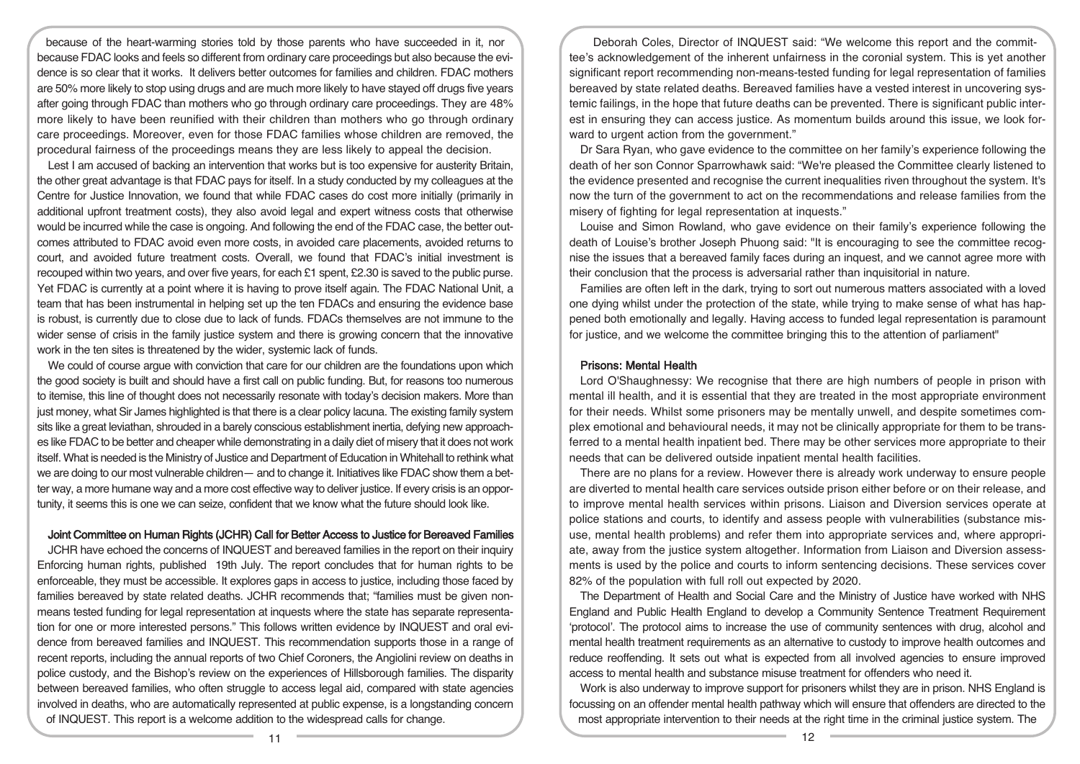because of the heart-warming stories told by those parents who have succeeded in it, nor because FDAC looks and feels so different from ordinary care proceedings but also because the evidence is so clear that it works. It delivers better outcomes for families and children. FDAC mothers are 50% more likely to stop using drugs and are much more likely to have stayed off drugs five years after going through FDAC than mothers who go through ordinary care proceedings. They are 48% more likely to have been reunified with their children than mothers who go through ordinary care proceedings. Moreover, even for those FDAC families whose children are removed, the procedural fairness of the proceedings means they are less likely to appeal the decision.

Lest I am accused of backing an intervention that works but is too expensive for austerity Britain, the other great advantage is that FDAC pays for itself. In a study conducted by my colleagues at the Centre for Justice Innovation, we found that while FDAC cases do cost more initially (primarily in additional upfront treatment costs), they also avoid legal and expert witness costs that otherwise would be incurred while the case is ongoing. And following the end of the FDAC case, the better outcomes attributed to FDAC avoid even more costs, in avoided care placements, avoided returns to court, and avoided future treatment costs. Overall, we found that FDAC's initial investment is recouped within two years, and over five years, for each £1 spent, £2.30 is saved to the public purse. Yet FDAC is currently at a point where it is having to prove itself again. The FDAC National Unit, a team that has been instrumental in helping set up the ten FDACs and ensuring the evidence base is robust, is currently due to close due to lack of funds. FDACs themselves are not immune to the wider sense of crisis in the family justice system and there is growing concern that the innovative work in the ten sites is threatened by the wider, systemic lack of funds.

We could of course argue with conviction that care for our children are the foundations upon which the good society is built and should have a first call on public funding. But, for reasons too numerous to itemise, this line of thought does not necessarily resonate with today's decision makers. More than just money, what Sir James highlighted is that there is a clear policy lacuna. The existing family system sits like a great leviathan, shrouded in a barely conscious establishment inertia, defying new approaches like FDAC to be better and cheaper while demonstrating in a daily diet of misery that it does not work itself. What is needed is the Ministry of Justice and Department of Education in Whitehall to rethink what we are doing to our most vulnerable children— and to change it. Initiatives like FDAC show them a better way, a more humane way and a more cost effective way to deliver justice. If every crisis is an opportunity, it seems this is one we can seize, confident that we know what the future should look like.

#### Joint Committee on Human Rights (JCHR) Call for Better Access to Justice for Bereaved Families

JCHR have echoed the concerns of INQUEST and bereaved families in the report on their inquiry Enforcing human rights, published 19th July. The report concludes that for human rights to be enforceable, they must be accessible. It explores gaps in access to justice, including those faced by families bereaved by state related deaths. JCHR recommends that; "families must be given nonmeans tested funding for legal representation at inquests where the state has separate representation for one or more interested persons." This follows written evidence by INQUEST and oral evidence from bereaved families and INQUEST. This recommendation supports those in a range of recent reports, including the annual reports of two Chief Coroners, the Angiolini review on deaths in police custody, and the Bishop's review on the experiences of Hillsborough families. The disparity between bereaved families, who often struggle to access legal aid, compared with state agencies involved in deaths, who are automatically represented at public expense, is a longstanding concern of INQUEST. This report is a welcome addition to the widespread calls for change.

Deborah Coles, Director of INQUEST said: "We welcome this report and the committee's acknowledgement of the inherent unfairness in the coronial system. This is yet another significant report recommending non-means-tested funding for legal representation of families bereaved by state related deaths. Bereaved families have a vested interest in uncovering systemic failings, in the hope that future deaths can be prevented. There is significant public interest in ensuring they can access justice. As momentum builds around this issue, we look forward to urgent action from the government."

Dr Sara Ryan, who gave evidence to the committee on her family's experience following the death of her son Connor Sparrowhawk said: "We're pleased the Committee clearly listened to the evidence presented and recognise the current inequalities riven throughout the system. It's now the turn of the government to act on the recommendations and release families from the misery of fighting for legal representation at inquests."

Louise and Simon Rowland, who gave evidence on their family's experience following the death of Louise's brother Joseph Phuong said: "It is encouraging to see the committee recognise the issues that a bereaved family faces during an inquest, and we cannot agree more with their conclusion that the process is adversarial rather than inquisitorial in nature.

Families are often left in the dark, trying to sort out numerous matters associated with a loved one dying whilst under the protection of the state, while trying to make sense of what has happened both emotionally and legally. Having access to funded legal representation is paramount for justice, and we welcome the committee bringing this to the attention of parliament"

#### Prisons: Mental Health

Lord O'Shaughnessy: We recognise that there are high numbers of people in prison with mental ill health, and it is essential that they are treated in the most appropriate environment for their needs. Whilst some prisoners may be mentally unwell, and despite sometimes complex emotional and behavioural needs, it may not be clinically appropriate for them to be transferred to a mental health inpatient bed. There may be other services more appropriate to their needs that can be delivered outside inpatient mental health facilities.

There are no plans for a review. However there is already work underway to ensure people are diverted to mental health care services outside prison either before or on their release, and to improve mental health services within prisons. Liaison and Diversion services operate at police stations and courts, to identify and assess people with vulnerabilities (substance misuse, mental health problems) and refer them into appropriate services and, where appropriate, away from the justice system altogether. Information from Liaison and Diversion assessments is used by the police and courts to inform sentencing decisions. These services cover 82% of the population with full roll out expected by 2020.

The Department of Health and Social Care and the Ministry of Justice have worked with NHS England and Public Health England to develop a Community Sentence Treatment Requirement 'protocol'. The protocol aims to increase the use of community sentences with drug, alcohol and mental health treatment requirements as an alternative to custody to improve health outcomes and reduce reoffending. It sets out what is expected from all involved agencies to ensure improved access to mental health and substance misuse treatment for offenders who need it.

Work is also underway to improve support for prisoners whilst they are in prison. NHS England is focussing on an offender mental health pathway which will ensure that offenders are directed to the most appropriate intervention to their needs at the right time in the criminal justice system. The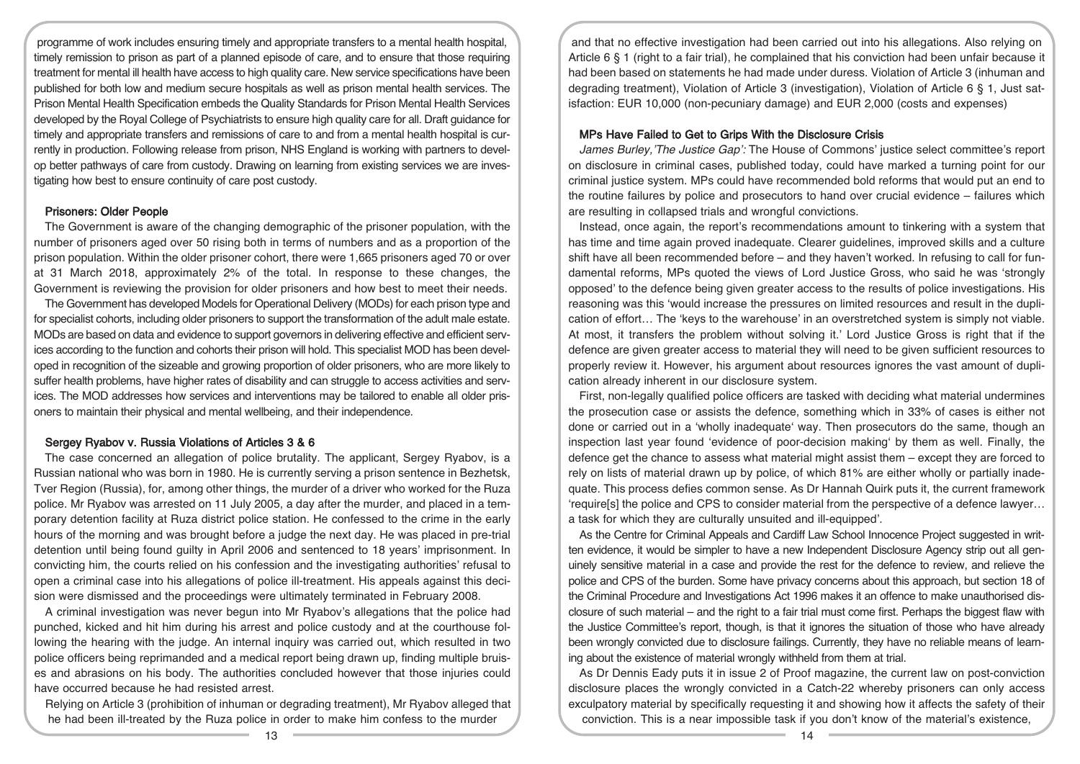programme of work includes ensuring timely and appropriate transfers to a mental health hospital, timely remission to prison as part of a planned episode of care, and to ensure that those requiring treatment for mental ill health have access to high quality care. New service specifications have been published for both low and medium secure hospitals as well as prison mental health services. The Prison Mental Health Specification embeds the Quality Standards for Prison Mental Health Services developed by the Royal College of Psychiatrists to ensure high quality care for all. Draft guidance for timely and appropriate transfers and remissions of care to and from a mental health hospital is currently in production. Following release from prison, NHS England is working with partners to develop better pathways of care from custody. Drawing on learning from existing services we are investigating how best to ensure continuity of care post custody.

#### Prisoners: Older People

The Government is aware of the changing demographic of the prisoner population, with the number of prisoners aged over 50 rising both in terms of numbers and as a proportion of the prison population. Within the older prisoner cohort, there were 1,665 prisoners aged 70 or over at 31 March 2018, approximately 2% of the total. In response to these changes, the Government is reviewing the provision for older prisoners and how best to meet their needs.

The Government has developed Models for Operational Delivery (MODs) for each prison type and for specialist cohorts, including older prisoners to support the transformation of the adult male estate. MODs are based on data and evidence to support governors in delivering effective and efficient services according to the function and cohorts their prison will hold. This specialist MOD has been developed in recognition of the sizeable and growing proportion of older prisoners, who are more likely to suffer health problems, have higher rates of disability and can struggle to access activities and services. The MOD addresses how services and interventions may be tailored to enable all older prisoners to maintain their physical and mental wellbeing, and their independence.

#### Sergey Ryabov v. Russia Violations of Articles 3 & 6

The case concerned an allegation of police brutality. The applicant, Sergey Ryabov, is a Russian national who was born in 1980. He is currently serving a prison sentence in Bezhetsk, Tver Region (Russia), for, among other things, the murder of a driver who worked for the Ruza police. Mr Ryabov was arrested on 11 July 2005, a day after the murder, and placed in a temporary detention facility at Ruza district police station. He confessed to the crime in the early hours of the morning and was brought before a judge the next day. He was placed in pre-trial detention until being found guilty in April 2006 and sentenced to 18 years' imprisonment. In convicting him, the courts relied on his confession and the investigating authorities' refusal to open a criminal case into his allegations of police ill-treatment. His appeals against this decision were dismissed and the proceedings were ultimately terminated in February 2008.

A criminal investigation was never begun into Mr Ryabov's allegations that the police had punched, kicked and hit him during his arrest and police custody and at the courthouse following the hearing with the judge. An internal inquiry was carried out, which resulted in two police officers being reprimanded and a medical report being drawn up, finding multiple bruises and abrasions on his body. The authorities concluded however that those injuries could have occurred because he had resisted arrest.

Relying on Article 3 (prohibition of inhuman or degrading treatment), Mr Ryabov alleged that he had been ill-treated by the Ruza police in order to make him confess to the murder

and that no effective investigation had been carried out into his allegations. Also relying on Article 6 § 1 (right to a fair trial), he complained that his conviction had been unfair because it had been based on statements he had made under duress. Violation of Article 3 (inhuman and degrading treatment), Violation of Article 3 (investigation), Violation of Article 6 § 1, Just satisfaction: EUR 10,000 (non-pecuniary damage) and EUR 2,000 (costs and expenses)

#### MPs Have Failed to Get to Grips With the Disclosure Crisis

James Burley, 'The Justice Gap': The House of Commons' justice select committee's report on disclosure in criminal cases, published today, could have marked a turning point for our criminal justice system. MPs could have recommended bold reforms that would put an end to the routine failures by police and prosecutors to hand over crucial evidence – failures which are resulting in collapsed trials and wrongful convictions.

Instead, once again, the report's recommendations amount to tinkering with a system that has time and time again proved inadequate. Clearer guidelines, improved skills and a culture shift have all been recommended before – and they haven't worked. In refusing to call for fundamental reforms, MPs quoted the views of Lord Justice Gross, who said he was 'strongly opposed' to the defence being given greater access to the results of police investigations. His reasoning was this 'would increase the pressures on limited resources and result in the duplication of effort… The 'keys to the warehouse' in an overstretched system is simply not viable. At most, it transfers the problem without solving it.' Lord Justice Gross is right that if the defence are given greater access to material they will need to be given sufficient resources to properly review it. However, his argument about resources ignores the vast amount of duplication already inherent in our disclosure system.

First, non-legally qualified police officers are tasked with deciding what material undermines the prosecution case or assists the defence, something which in 33% of cases is either not done or carried out in a 'wholly inadequate' way. Then prosecutors do the same, though an inspection last year found 'evidence of poor-decision making' by them as well. Finally, the defence get the chance to assess what material might assist them – except they are forced to rely on lists of material drawn up by police, of which 81% are either wholly or partially inadequate. This process defies common sense. As Dr Hannah Quirk puts it, the current framework 'require[s] the police and CPS to consider material from the perspective of a defence lawyer… a task for which they are culturally unsuited and ill-equipped'.

As the Centre for Criminal Appeals and Cardiff Law School Innocence Project suggested in written evidence, it would be simpler to have a new Independent Disclosure Agency strip out all genuinely sensitive material in a case and provide the rest for the defence to review, and relieve the police and CPS of the burden. Some have privacy concerns about this approach, but section 18 of the Criminal Procedure and Investigations Act 1996 makes it an offence to make unauthorised disclosure of such material – and the right to a fair trial must come first. Perhaps the biggest flaw with the Justice Committee's report, though, is that it ignores the situation of those who have already been wrongly convicted due to disclosure failings. Currently, they have no reliable means of learning about the existence of material wrongly withheld from them at trial.

As Dr Dennis Eady puts it in issue 2 of Proof magazine, the current law on post-conviction disclosure places the wrongly convicted in a Catch-22 whereby prisoners can only access exculpatory material by specifically requesting it and showing how it affects the safety of their conviction. This is a near impossible task if you don't know of the material's existence,